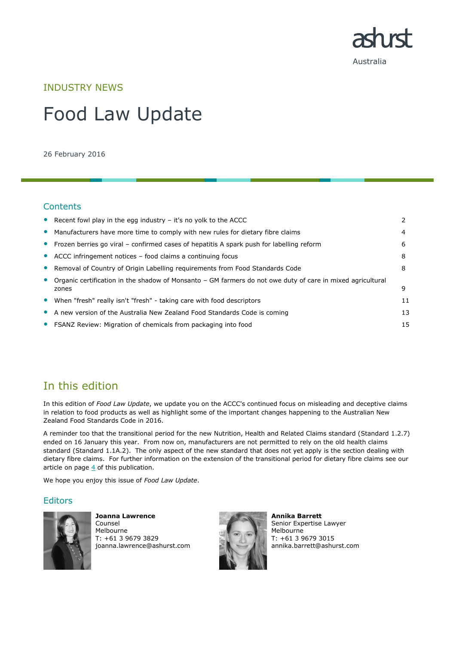

INDUSTRY NEWS

# Food Law Update

26 February 2016

## **Contents**

|           | • Recent fowl play in the egg industry $-$ it's no yolk to the ACCC                                                 |    |
|-----------|---------------------------------------------------------------------------------------------------------------------|----|
| $\bullet$ | Manufacturers have more time to comply with new rules for dietary fibre claims                                      | 4  |
|           | • Frozen berries go viral – confirmed cases of hepatitis A spark push for labelling reform                          | 6  |
|           | • ACCC infringement notices – food claims a continuing focus                                                        | 8  |
|           | • Removal of Country of Origin Labelling requirements from Food Standards Code                                      | 8  |
| $\bullet$ | Organic certification in the shadow of Monsanto – GM farmers do not owe duty of care in mixed agricultural<br>zones | 9  |
| $\bullet$ | When "fresh" really isn't "fresh" - taking care with food descriptors                                               | 11 |
|           | • A new version of the Australia New Zealand Food Standards Code is coming                                          | 13 |
|           | • FSANZ Review: Migration of chemicals from packaging into food                                                     | 15 |

# In this edition

In this edition of *Food Law Update*, we update you on the ACCC's continued focus on misleading and deceptive claims in relation to food products as well as highlight some of the important changes happening to the Australian New Zealand Food Standards Code in 2016.

A reminder too that the transitional period for the new Nutrition, Health and Related Claims standard (Standard 1.2.7) ended on 16 January this year. From now on, manufacturers are not permitted to rely on the old health claims standard (Standard 1.1A.2). The only aspect of the new standard that does not yet apply is the section dealing with dietary fibre claims. For further information on the extension of the transitional period for dietary fibre claims see our article on page  $4$  of this publication.

We hope you enjoy this issue of *Food Law Update*.

### **Editors**



**Joanna Lawrence** Counsel Melbourne T: +61 3 9679 3829 joanna.lawrence@ashurst.com



**Annika Barrett** Senior Expertise Lawyer Melbourne T: +61 3 9679 3015 annika.barrett@ashurst.com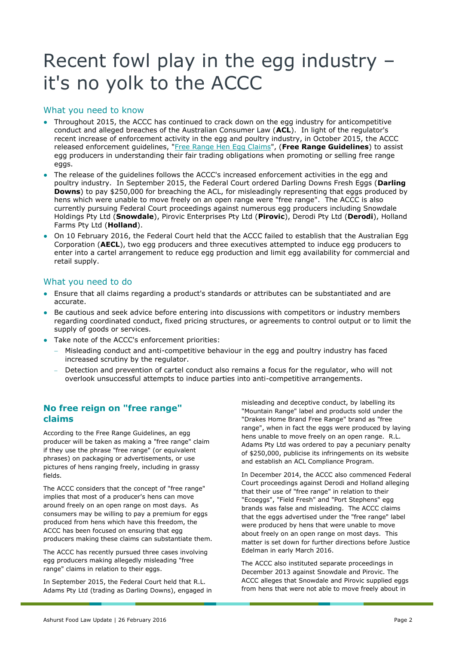# Recent fowl play in the egg industry – it's no yolk to the ACCC

## What you need to know

- Throughout 2015, the ACCC has continued to crack down on the egg industry for anticompetitive conduct and alleged breaches of the Australian Consumer Law (**ACL**). In light of the regulator's recent increase of enforcement activity in the egg and poultry industry, in October 2015, the ACCC released enforcement guidelines, ["Free Range Hen Egg Claims"](https://www.accc.gov.au/system/files/1029_Free%20range%20Eggs%20guidelines_FA.pdf), (**Free Range Guidelines**) to assist egg producers in understanding their fair trading obligations when promoting or selling free range eggs.
- The release of the guidelines follows the ACCC's increased enforcement activities in the egg and poultry industry. In September 2015, the Federal Court ordered Darling Downs Fresh Eggs (**Darling Downs**) to pay \$250,000 for breaching the ACL, for misleadingly representing that eggs produced by hens which were unable to move freely on an open range were "free range". The ACCC is also currently pursuing Federal Court proceedings against numerous egg producers including Snowdale Holdings Pty Ltd (**Snowdale**), Pirovic Enterprises Pty Ltd (**Pirovic**), Derodi Pty Ltd (**Derodi**), Holland Farms Pty Ltd (**Holland**).
- On 10 February 2016, the Federal Court held that the ACCC failed to establish that the Australian Egg Corporation (**AECL**), two egg producers and three executives attempted to induce egg producers to enter into a cartel arrangement to reduce egg production and limit egg availability for commercial and retail supply.

### What you need to do

- Ensure that all claims regarding a product's standards or attributes can be substantiated and are accurate.
- Be cautious and seek advice before entering into discussions with competitors or industry members regarding coordinated conduct, fixed pricing structures, or agreements to control output or to limit the supply of goods or services.
- Take note of the ACCC's enforcement priorities:
	- Misleading conduct and anti-competitive behaviour in the egg and poultry industry has faced increased scrutiny by the regulator.
	- Detection and prevention of cartel conduct also remains a focus for the regulator, who will not overlook unsuccessful attempts to induce parties into anti-competitive arrangements.

## **No free reign on "free range" claims**

According to the Free Range Guidelines, an egg producer will be taken as making a "free range" claim if they use the phrase "free range" (or equivalent phrases) on packaging or advertisements, or use pictures of hens ranging freely, including in grassy fields.

The ACCC considers that the concept of "free range" implies that most of a producer's hens can move around freely on an open range on most days. As consumers may be willing to pay a premium for eggs produced from hens which have this freedom, the ACCC has been focused on ensuring that egg producers making these claims can substantiate them.

The ACCC has recently pursued three cases involving egg producers making allegedly misleading "free range" claims in relation to their eggs.

In September 2015, the Federal Court held that R.L. Adams Pty Ltd (trading as Darling Downs), engaged in misleading and deceptive conduct, by labelling its "Mountain Range" label and products sold under the "Drakes Home Brand Free Range" brand as "free range", when in fact the eggs were produced by laying hens unable to move freely on an open range. R.L. Adams Pty Ltd was ordered to pay a pecuniary penalty of \$250,000, publicise its infringements on its website and establish an ACL Compliance Program.

In December 2014, the ACCC also commenced Federal Court proceedings against Derodi and Holland alleging that their use of "free range" in relation to their "Ecoeggs", "Field Fresh" and "Port Stephens" egg brands was false and misleading. The ACCC claims that the eggs advertised under the "free range" label were produced by hens that were unable to move about freely on an open range on most days. This matter is set down for further directions before Justice Edelman in early March 2016.

The ACCC also instituted separate proceedings in December 2013 against Snowdale and Pirovic. The ACCC alleges that Snowdale and Pirovic supplied eggs from hens that were not able to move freely about in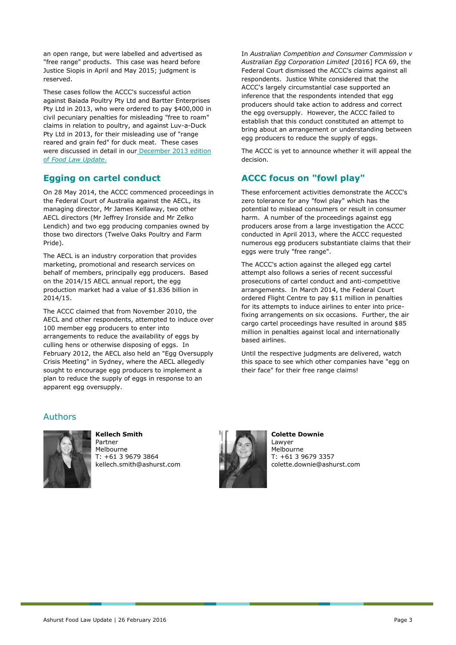an open range, but were labelled and advertised as "free range" products. This case was heard before Justice Siopis in April and May 2015; judgment is reserved.

These cases follow the ACCC's successful action against Baiada Poultry Pty Ltd and Bartter Enterprises Pty Ltd in 2013, who were ordered to pay \$400,000 in civil pecuniary penalties for misleading "free to roam" claims in relation to poultry, and against Luv-a-Duck Pty Ltd in 2013, for their misleading use of "range reared and grain fed" for duck meat. These cases were discussed in detail in our [December 2013 edition](https://www.ashurst.com/page.aspx?id_Content=9877)  of *[Food Law Update](https://www.ashurst.com/page.aspx?id_Content=9877)*.

## **Egging on cartel conduct**

On 28 May 2014, the ACCC commenced proceedings in the Federal Court of Australia against the AECL, its managing director, Mr James Kellaway, two other AECL directors (Mr Jeffrey Ironside and Mr Zelko Lendich) and two egg producing companies owned by those two directors (Twelve Oaks Poultry and Farm Pride).

The AECL is an industry corporation that provides marketing, promotional and research services on behalf of members, principally egg producers. Based on the 2014/15 AECL annual report, the egg production market had a value of \$1.836 billion in 2014/15.

The ACCC claimed that from November 2010, the AECL and other respondents, attempted to induce over 100 member egg producers to enter into arrangements to reduce the availability of eggs by culling hens or otherwise disposing of eggs. In February 2012, the AECL also held an "Egg Oversupply Crisis Meeting" in Sydney, where the AECL allegedly sought to encourage egg producers to implement a plan to reduce the supply of eggs in response to an apparent egg oversupply.

In *Australian Competition and Consumer Commission v Australian Egg Corporation Limited* [2016] FCA 69, the Federal Court dismissed the ACCC's claims against all respondents. Justice White considered that the ACCC's largely circumstantial case supported an inference that the respondents intended that egg producers should take action to address and correct the egg oversupply. However, the ACCC failed to establish that this conduct constituted an attempt to bring about an arrangement or understanding between egg producers to reduce the supply of eggs.

The ACCC is yet to announce whether it will appeal the decision.

## **ACCC focus on "fowl play"**

These enforcement activities demonstrate the ACCC's zero tolerance for any "fowl play" which has the potential to mislead consumers or result in consumer harm. A number of the proceedings against egg producers arose from a large investigation the ACCC conducted in April 2013, where the ACCC requested numerous egg producers substantiate claims that their eggs were truly "free range".

The ACCC's action against the alleged egg cartel attempt also follows a series of recent successful prosecutions of cartel conduct and anti-competitive arrangements. In March 2014, the Federal Court ordered Flight Centre to pay \$11 million in penalties for its attempts to induce airlines to enter into pricefixing arrangements on six occasions. Further, the air cargo cartel proceedings have resulted in around \$85 million in penalties against local and internationally based airlines.

Until the respective judgments are delivered, watch this space to see which other companies have "egg on their face" for their free range claims!

## Authors



**Kellech Smith** Partner

Melbourne T: +61 3 9679 3864 kellech.smith@ashurst.com



**Colette Downie Lawyer** Melbourne T: +61 3 9679 3357 colette.downie@ashurst.com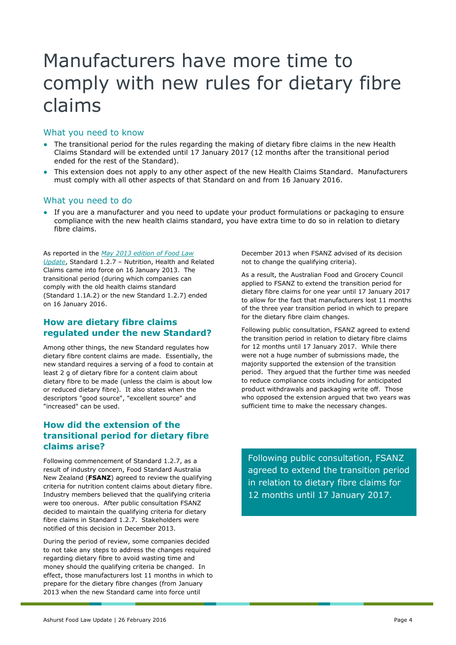# <span id="page-3-0"></span>Manufacturers have more time to comply with new rules for dietary fibre claims

### What you need to know

- The transitional period for the rules regarding the making of dietary fibre claims in the new Health Claims Standard will be extended until 17 January 2017 (12 months after the transitional period ended for the rest of the Standard).
- This extension does not apply to any other aspect of the new Health Claims Standard. Manufacturers must comply with all other aspects of that Standard on and from 16 January 2016.

### What you need to do

• If you are a manufacturer and you need to update your product formulations or packaging to ensure compliance with the new health claims standard, you have extra time to do so in relation to dietary fibre claims.

As reported in the *[May 2013 edition of Food Law](https://www.ashurst.com/page.aspx?id_Content=9163)  [Update](https://www.ashurst.com/page.aspx?id_Content=9163)*, Standard 1.2.7 – Nutrition, Health and Related Claims came into force on 16 January 2013. The transitional period (during which companies can comply with the old health claims standard (Standard 1.1A.2) or the new Standard 1.2.7) ended on 16 January 2016.

## **How are dietary fibre claims regulated under the new Standard?**

Among other things, the new Standard regulates how dietary fibre content claims are made. Essentially, the new standard requires a serving of a food to contain at least 2 g of dietary fibre for a content claim about dietary fibre to be made (unless the claim is about low or reduced dietary fibre). It also states when the descriptors "good source", "excellent source" and "increased" can be used.

## **How did the extension of the transitional period for dietary fibre claims arise?**

Following commencement of Standard 1.2.7, as a result of industry concern, Food Standard Australia New Zealand (**FSANZ**) agreed to review the qualifying criteria for nutrition content claims about dietary fibre. Industry members believed that the qualifying criteria were too onerous. After public consultation FSANZ decided to maintain the qualifying criteria for dietary fibre claims in Standard 1.2.7. Stakeholders were notified of this decision in December 2013.

During the period of review, some companies decided to not take any steps to address the changes required regarding dietary fibre to avoid wasting time and money should the qualifying criteria be changed. In effect, those manufacturers lost 11 months in which to prepare for the dietary fibre changes (from January 2013 when the new Standard came into force until

December 2013 when FSANZ advised of its decision not to change the qualifying criteria).

As a result, the Australian Food and Grocery Council applied to FSANZ to extend the transition period for dietary fibre claims for one year until 17 January 2017 to allow for the fact that manufacturers lost 11 months of the three year transition period in which to prepare for the dietary fibre claim changes.

Following public consultation, FSANZ agreed to extend the transition period in relation to dietary fibre claims for 12 months until 17 January 2017. While there were not a huge number of submissions made, the majority supported the extension of the transition period. They argued that the further time was needed to reduce compliance costs including for anticipated product withdrawals and packaging write off. Those who opposed the extension argued that two years was sufficient time to make the necessary changes.

Following public consultation, FSANZ agreed to extend the transition period in relation to dietary fibre claims for 12 months until 17 January 2017.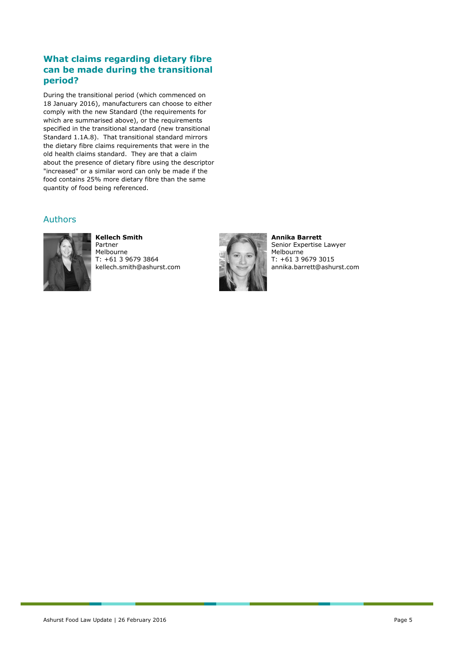## **What claims regarding dietary fibre can be made during the transitional period?**

During the transitional period (which commenced on 18 January 2016), manufacturers can choose to either comply with the new Standard (the requirements for which are summarised above), or the requirements specified in the transitional standard (new transitional Standard 1.1A.8). That transitional standard mirrors the dietary fibre claims requirements that were in the old health claims standard. They are that a claim about the presence of dietary fibre using the descriptor "increased" or a similar word can only be made if the food contains 25% more dietary fibre than the same quantity of food being referenced.

## Authors



#### **Kellech Smith** Partner

Melbourne T: +61 3 9679 3864 kellech.smith@ashurst.com



**Annika Barrett** Senior Expertise Lawyer Melbourne T: +61 3 9679 3015 annika.barrett@ashurst.com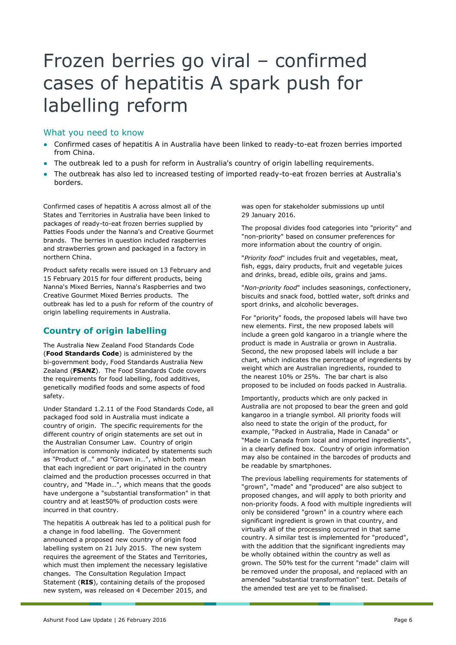# Frozen berries go viral – confirmed cases of hepatitis A spark push for labelling reform

### What you need to know

- Confirmed cases of hepatitis A in Australia have been linked to ready-to-eat frozen berries imported from China.
- The outbreak led to a push for reform in Australia's country of origin labelling requirements.
- The outbreak has also led to increased testing of imported ready-to-eat frozen berries at Australia's borders.

Confirmed cases of hepatitis A across almost all of the States and Territories in Australia have been linked to packages of ready-to-eat frozen berries supplied by Patties Foods under the Nanna's and Creative Gourmet brands. The berries in question included raspberries and strawberries grown and packaged in a factory in northern China.

Product safety recalls were issued on 13 February and 15 February 2015 for four different products, being Nanna's Mixed Berries, Nanna's Raspberries and two Creative Gourmet Mixed Berries products. The outbreak has led to a push for reform of the country of origin labelling requirements in Australia.

## **Country of origin labelling**

The Australia New Zealand Food Standards Code (**Food Standards Code**) is administered by the bi-government body, Food Standards Australia New Zealand (**FSANZ**). The Food Standards Code covers the requirements for food labelling, food additives, genetically modified foods and some aspects of food safety.

Under Standard 1.2.11 of the Food Standards Code, all packaged food sold in Australia must indicate a country of origin. The specific requirements for the different country of origin statements are set out in the Australian Consumer Law. Country of origin information is commonly indicated by statements such as "Product of…" and "Grown in…", which both mean that each ingredient or part originated in the country claimed and the production processes occurred in that country, and "Made in…", which means that the goods have undergone a "substantial transformation" in that country and at least50% of production costs were incurred in that country.

The hepatitis A outbreak has led to a political push for a change in food labelling. The Government announced a proposed new country of origin food labelling system on 21 July 2015. The new system requires the agreement of the States and Territories, which must then implement the necessary legislative changes. The Consultation Regulation Impact Statement (**RIS**), containing details of the proposed new system, was released on 4 December 2015, and

was open for stakeholder submissions up until 29 January 2016.

The proposal divides food categories into "priority" and "non-priority" based on consumer preferences for more information about the country of origin.

"*Priority food*" includes fruit and vegetables, meat, fish, eggs, dairy products, fruit and vegetable juices and drinks, bread, edible oils, grains and jams.

"*Non-priority food*" includes seasonings, confectionery, biscuits and snack food, bottled water, soft drinks and sport drinks, and alcoholic beverages.

For "priority" foods, the proposed labels will have two new elements. First, the new proposed labels will include a green gold kangaroo in a triangle where the product is made in Australia or grown in Australia. Second, the new proposed labels will include a bar chart, which indicates the percentage of ingredients by weight which are Australian ingredients, rounded to the nearest 10% or 25%. The bar chart is also proposed to be included on foods packed in Australia.

Importantly, products which are only packed in Australia are not proposed to bear the green and gold kangaroo in a triangle symbol. All priority foods will also need to state the origin of the product, for example, "Packed in Australia, Made in Canada" or "Made in Canada from local and imported ingredients", in a clearly defined box. Country of origin information may also be contained in the barcodes of products and be readable by smartphones.

The previous labelling requirements for statements of "grown", "made" and "produced" are also subject to proposed changes, and will apply to both priority and non-priority foods. A food with multiple ingredients will only be considered "grown" in a country where each significant ingredient is grown in that country, and virtually all of the processing occurred in that same country. A similar test is implemented for "produced", with the addition that the significant ingredients may be wholly obtained within the country as well as grown. The 50% test for the current "made" claim will be removed under the proposal, and replaced with an amended "substantial transformation" test. Details of the amended test are yet to be finalised.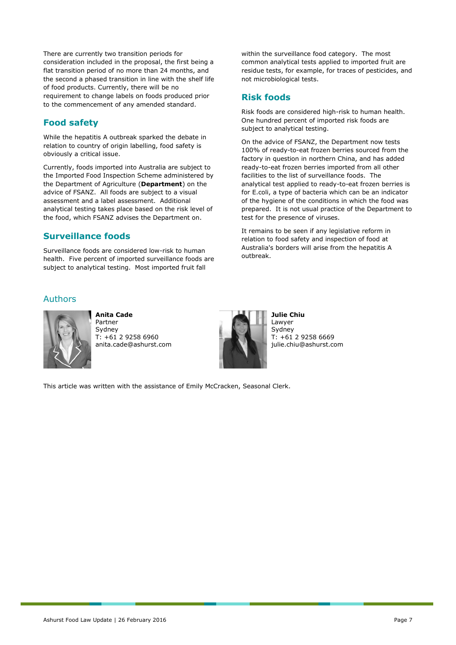There are currently two transition periods for consideration included in the proposal, the first being a flat transition period of no more than 24 months, and the second a phased transition in line with the shelf life of food products. Currently, there will be no requirement to change labels on foods produced prior to the commencement of any amended standard.

## **Food safety**

While the hepatitis A outbreak sparked the debate in relation to country of origin labelling, food safety is obviously a critical issue.

Currently, foods imported into Australia are subject to the Imported Food Inspection Scheme administered by the Department of Agriculture (**Department**) on the advice of FSANZ. All foods are subject to a visual assessment and a label assessment. Additional analytical testing takes place based on the risk level of the food, which FSANZ advises the Department on.

## **Surveillance foods**

Surveillance foods are considered low-risk to human health. Five percent of imported surveillance foods are subject to analytical testing. Most imported fruit fall

## Authors



**Anita Cade** Partner Sydney T: +61 2 9258 6960 anita.cade@ashurst.com



**Julie Chiu** Lawyer **Sydney** T: +61 2 9258 6669 julie.chiu@ashurst.com

This article was written with the assistance of Emily McCracken, Seasonal Clerk.

within the surveillance food category. The most common analytical tests applied to imported fruit are residue tests, for example, for traces of pesticides, and not microbiological tests.

# **Risk foods**

Risk foods are considered high-risk to human health. One hundred percent of imported risk foods are subject to analytical testing.

On the advice of FSANZ, the Department now tests 100% of ready-to-eat frozen berries sourced from the factory in question in northern China, and has added ready-to-eat frozen berries imported from all other facilities to the list of surveillance foods. The analytical test applied to ready-to-eat frozen berries is for E.coli, a type of bacteria which can be an indicator of the hygiene of the conditions in which the food was prepared. It is not usual practice of the Department to test for the presence of viruses.

It remains to be seen if any legislative reform in relation to food safety and inspection of food at Australia's borders will arise from the hepatitis A outbreak.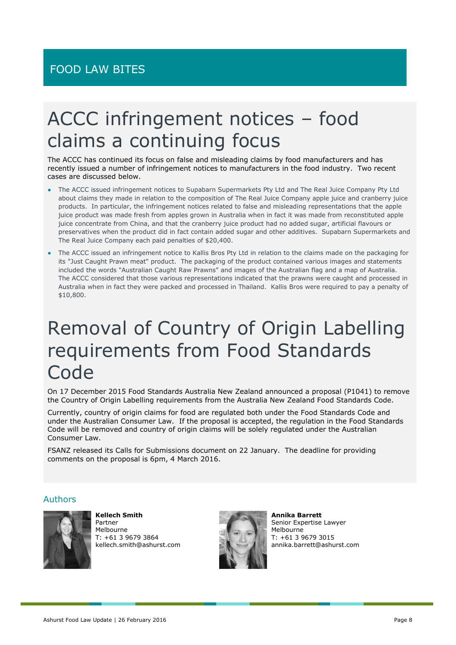# ACCC infringement notices – food claims a continuing focus

The ACCC has continued its focus on false and misleading claims by food manufacturers and has recently issued a number of infringement notices to manufacturers in the food industry. Two recent cases are discussed below.

- The ACCC issued infringement notices to Supabarn Supermarkets Pty Ltd and The Real Juice Company Pty Ltd about claims they made in relation to the composition of The Real Juice Company apple juice and cranberry juice products. In particular, the infringement notices related to false and misleading representations that the apple juice product was made fresh from apples grown in Australia when in fact it was made from reconstituted apple juice concentrate from China, and that the cranberry juice product had no added sugar, artificial flavours or preservatives when the product did in fact contain added sugar and other additives. Supabarn Supermarkets and The Real Juice Company each paid penalties of \$20,400.
- The ACCC issued an infringement notice to Kallis Bros Pty Ltd in relation to the claims made on the packaging for its "Just Caught Prawn meat" product. The packaging of the product contained various images and statements included the words "Australian Caught Raw Prawns" and images of the Australian flag and a map of Australia. The ACCC considered that those various representations indicated that the prawns were caught and processed in Australia when in fact they were packed and processed in Thailand. Kallis Bros were required to pay a penalty of \$10,800.

# Removal of Country of Origin Labelling requirements from Food Standards Code

On 17 December 2015 Food Standards Australia New Zealand announced a proposal (P1041) to remove the Country of Origin Labelling requirements from the Australia New Zealand Food Standards Code.

Currently, country of origin claims for food are regulated both under the Food Standards Code and under the Australian Consumer Law. If the proposal is accepted, the regulation in the Food Standards Code will be removed and country of origin claims will be solely regulated under the Australian Consumer Law.

FSANZ released its Calls for Submissions document on 22 January. The deadline for providing comments on the proposal is 6pm, 4 March 2016.

### Authors



**Kellech Smith** Partner Melbourne T: +61 3 9679 3864 kellech.smith@ashurst.com



**Annika Barrett** Senior Expertise Lawyer Melbourne T: +61 3 9679 3015 annika.barrett@ashurst.com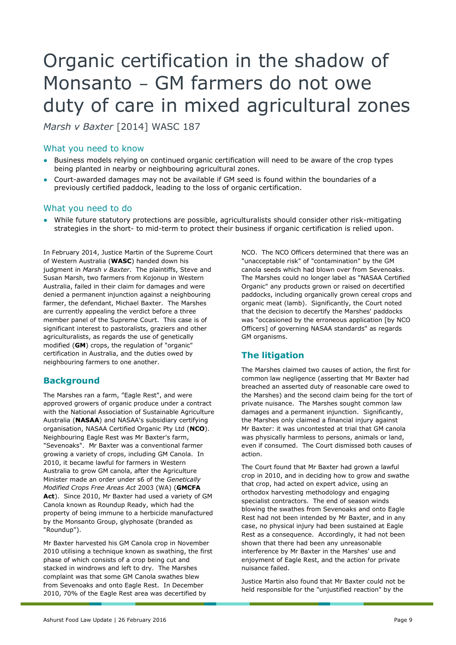# Organic certification in the shadow of Monsanto – GM farmers do not owe duty of care in mixed agricultural zones

*Marsh v Baxter* [2014] WASC 187

### What you need to know

- Business models relying on continued organic certification will need to be aware of the crop types being planted in nearby or neighbouring agricultural zones.
- Court-awarded damages may not be available if GM seed is found within the boundaries of a previously certified paddock, leading to the loss of organic certification.

### What you need to do

● While future statutory protections are possible, agriculturalists should consider other risk-mitigating strategies in the short- to mid-term to protect their business if organic certification is relied upon.

In February 2014, Justice Martin of the Supreme Court of Western Australia (**WASC**) handed down his judgment in *Marsh v Baxter*. The plaintiffs, Steve and Susan Marsh, two farmers from Kojonup in Western Australia, failed in their claim for damages and were denied a permanent injunction against a neighbouring farmer, the defendant, Michael Baxter. The Marshes are currently appealing the verdict before a three member panel of the Supreme Court. This case is of significant interest to pastoralists, graziers and other agriculturalists, as regards the use of genetically modified (**GM**) crops, the regulation of "organic" certification in Australia, and the duties owed by neighbouring farmers to one another.

## **Background**

The Marshes ran a farm, "Eagle Rest", and were approved growers of organic produce under a contract with the National Association of Sustainable Agriculture Australia (**NASAA**) and NASAA's subsidiary certifying organisation, NASAA Certified Organic Pty Ltd (**NCO**). Neighbouring Eagle Rest was Mr Baxter's farm, "Sevenoaks". Mr Baxter was a conventional farmer growing a variety of crops, including GM Canola. In 2010, it became lawful for farmers in Western Australia to grow GM canola, after the Agriculture Minister made an order under s6 of the *Genetically Modified Crops Free Areas Act* 2003 (WA) (**GMCFA Act**). Since 2010, Mr Baxter had used a variety of GM Canola known as Roundup Ready, which had the property of being immune to a herbicide manufactured by the Monsanto Group, glyphosate (branded as "Roundup").

Mr Baxter harvested his GM Canola crop in November 2010 utilising a technique known as swathing, the first phase of which consists of a crop being cut and stacked in windrows and left to dry. The Marshes complaint was that some GM Canola swathes blew from Sevenoaks and onto Eagle Rest. In December 2010, 70% of the Eagle Rest area was decertified by

NCO. The NCO Officers determined that there was an "unacceptable risk" of "contamination" by the GM canola seeds which had blown over from Sevenoaks. The Marshes could no longer label as "NASAA Certified Organic" any products grown or raised on decertified paddocks, including organically grown cereal crops and organic meat (lamb). Significantly, the Court noted that the decision to decertify the Marshes' paddocks was "occasioned by the erroneous application [by NCO Officers] of governing NASAA standards" as regards GM organisms.

# **The litigation**

The Marshes claimed two causes of action, the first for common law negligence (asserting that Mr Baxter had breached an asserted duty of reasonable care owed to the Marshes) and the second claim being for the tort of private nuisance. The Marshes sought common law damages and a permanent injunction. Significantly, the Marshes only claimed a financial injury against Mr Baxter: it was uncontested at trial that GM canola was physically harmless to persons, animals or land, even if consumed. The Court dismissed both causes of action.

The Court found that Mr Baxter had grown a lawful crop in 2010, and in deciding how to grow and swathe that crop, had acted on expert advice, using an orthodox harvesting methodology and engaging specialist contractors. The end of season winds blowing the swathes from Sevenoaks and onto Eagle Rest had not been intended by Mr Baxter, and in any case, no physical injury had been sustained at Eagle Rest as a consequence. Accordingly, it had not been shown that there had been any unreasonable interference by Mr Baxter in the Marshes' use and enjoyment of Eagle Rest, and the action for private nuisance failed.

Justice Martin also found that Mr Baxter could not be held responsible for the "unjustified reaction" by the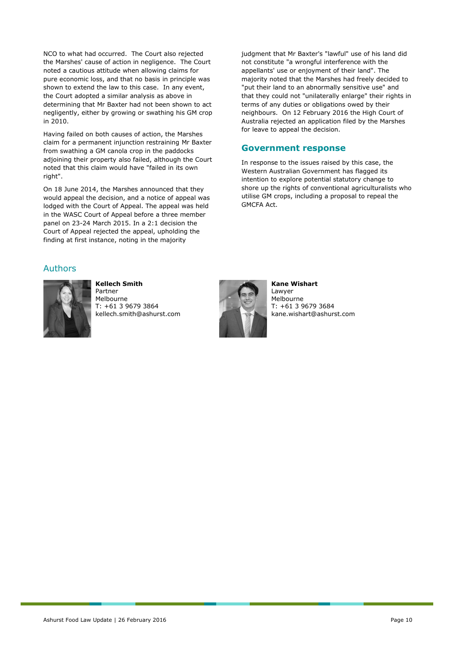NCO to what had occurred. The Court also rejected the Marshes' cause of action in negligence. The Court noted a cautious attitude when allowing claims for pure economic loss, and that no basis in principle was shown to extend the law to this case. In any event, the Court adopted a similar analysis as above in determining that Mr Baxter had not been shown to act negligently, either by growing or swathing his GM crop in 2010.

Having failed on both causes of action, the Marshes claim for a permanent injunction restraining Mr Baxter from swathing a GM canola crop in the paddocks adjoining their property also failed, although the Court noted that this claim would have "failed in its own right".

On 18 June 2014, the Marshes announced that they would appeal the decision, and a notice of appeal was lodged with the Court of Appeal. The appeal was held in the WASC Court of Appeal before a three member panel on 23-24 March 2015. In a 2:1 decision the Court of Appeal rejected the appeal, upholding the finding at first instance, noting in the majority

judgment that Mr Baxter's "lawful" use of his land did not constitute "a wrongful interference with the appellants' use or enjoyment of their land". The majority noted that the Marshes had freely decided to "put their land to an abnormally sensitive use" and that they could not "unilaterally enlarge" their rights in terms of any duties or obligations owed by their neighbours. On 12 February 2016 the High Court of Australia rejected an application filed by the Marshes for leave to appeal the decision.

#### **Government response**

In response to the issues raised by this case, the Western Australian Government has flagged its intention to explore potential statutory change to shore up the rights of conventional agriculturalists who utilise GM crops, including a proposal to repeal the GMCFA Act.

#### Authors



**Kellech Smith** Partner Melbourne T: +61 3 9679 3864 kellech.smith@ashurst.com



**Kane Wishart** Lawyer Melbourne T: +61 3 9679 3684 kane.wishart@ashurst.com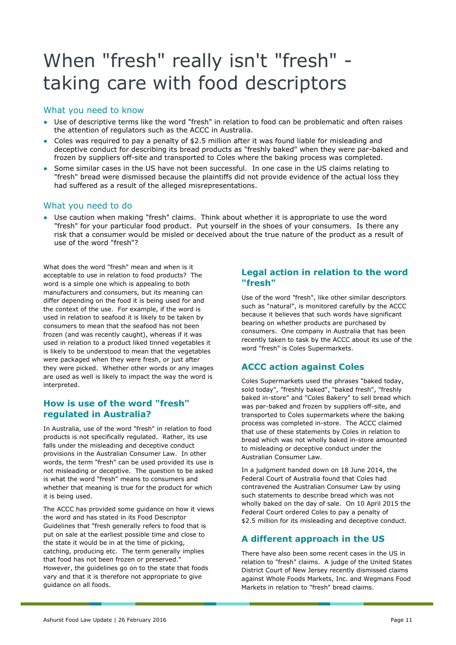# When "fresh" really isn't "fresh" taking care with food descriptors

### What you need to know

- Use of descriptive terms like the word "fresh" in relation to food can be problematic and often raises the attention of regulators such as the ACCC in Australia.
- Coles was required to pay a penalty of \$2.5 million after it was found liable for misleading and deceptive conduct for describing its bread products as "freshly baked" when they were par-baked and frozen by suppliers off-site and transported to Coles where the baking process was completed.
- Some similar cases in the US have not been successful. In one case in the US claims relating to "fresh" bread were dismissed because the plaintiffs did not provide evidence of the actual loss they had suffered as a result of the alleged misrepresentations.

## What you need to do

● Use caution when making "fresh" claims. Think about whether it is appropriate to use the word "fresh" for your particular food product. Put yourself in the shoes of your consumers. Is there any risk that a consumer would be misled or deceived about the true nature of the product as a result of use of the word "fresh"?

What does the word "fresh" mean and when is it acceptable to use in relation to food products? The word is a simple one which is appealing to both manufacturers and consumers, but its meaning can differ depending on the food it is being used for and the context of the use. For example, if the word is used in relation to seafood it is likely to be taken by consumers to mean that the seafood has not been frozen (and was recently caught), whereas if it was used in relation to a product liked tinned vegetables it is likely to be understood to mean that the vegetables were packaged when they were fresh, or just after they were picked. Whether other words or any images are used as well is likely to impact the way the word is interpreted.

## **How is use of the word "fresh" regulated in Australia?**

In Australia, use of the word "fresh" in relation to food products is not specifically regulated. Rather, its use falls under the misleading and deceptive conduct provisions in the Australian Consumer Law. In other words, the term "fresh" can be used provided its use is not misleading or deceptive. The question to be asked is what the word "fresh" means to consumers and whether that meaning is true for the product for which it is being used.

The ACCC has provided some guidance on how it views the word and has stated in its Food Descriptor Guidelines that "fresh generally refers to food that is put on sale at the earliest possible time and close to the state it would be in at the time of picking, catching, producing etc. The term generally implies that food has not been frozen or preserved." However, the guidelines go on to the state that foods vary and that it is therefore not appropriate to give guidance on all foods.

## **Legal action in relation to the word "fresh"**

Use of the word "fresh", like other similar descriptors such as "natural", is monitored carefully by the ACCC because it believes that such words have significant bearing on whether products are purchased by consumers. One company in Australia that has been recently taken to task by the ACCC about its use of the word "fresh" is Coles Supermarkets.

## **ACCC action against Coles**

Coles Supermarkets used the phrases "baked today, sold today", "freshly baked", "baked fresh", "freshly baked in-store" and "Coles Bakery" to sell bread which was par-baked and frozen by suppliers off-site, and transported to Coles supermarkets where the baking process was completed in-store. The ACCC claimed that use of these statements by Coles in relation to bread which was not wholly baked in-store amounted to misleading or deceptive conduct under the Australian Consumer Law.

In a judgment handed down on 18 June 2014, the Federal Court of Australia found that Coles had contravened the Australian Consumer Law by using such statements to describe bread which was not wholly baked on the day of sale. On 10 April 2015 the Federal Court ordered Coles to pay a penalty of \$2.5 million for its misleading and deceptive conduct.

# **A different approach in the US**

There have also been some recent cases in the US in relation to "fresh" claims. A judge of the United States District Court of New Jersey recently dismissed claims against Whole Foods Markets, Inc. and Wegmans Food Markets in relation to "fresh" bread claims.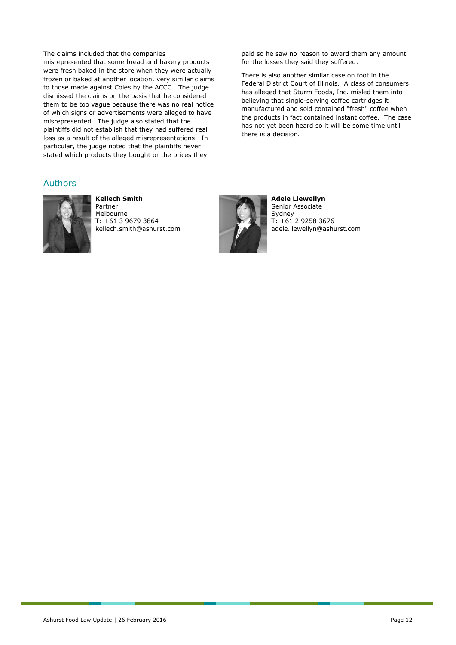The claims included that the companies misrepresented that some bread and bakery products were fresh baked in the store when they were actually frozen or baked at another location, very similar claims to those made against Coles by the ACCC. The judge dismissed the claims on the basis that he considered them to be too vague because there was no real notice of which signs or advertisements were alleged to have misrepresented. The judge also stated that the plaintiffs did not establish that they had suffered real loss as a result of the alleged misrepresentations. In particular, the judge noted that the plaintiffs never stated which products they bought or the prices they

#### Authors



**Kellech Smith** Partner Melbourne T: +61 3 9679 3864 kellech.smith@ashurst.com



**Adele Llewellyn** Senior Associate Sydney T: +61 2 9258 3676 adele.llewellyn@ashurst.com

paid so he saw no reason to award them any amount

There is also another similar case on foot in the Federal District Court of Illinois. A class of consumers has alleged that Sturm Foods, Inc. misled them into believing that single-serving coffee cartridges it manufactured and sold contained "fresh" coffee when the products in fact contained instant coffee. The case has not yet been heard so it will be some time until

for the losses they said they suffered.

there is a decision.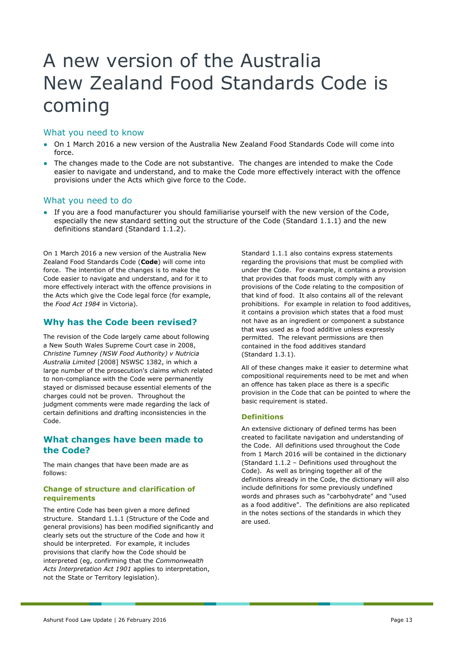# A new version of the Australia New Zealand Food Standards Code is coming

#### What you need to know

- On 1 March 2016 a new version of the Australia New Zealand Food Standards Code will come into force.
- The changes made to the Code are not substantive. The changes are intended to make the Code easier to navigate and understand, and to make the Code more effectively interact with the offence provisions under the Acts which give force to the Code.

#### What you need to do

● If you are a food manufacturer you should familiarise yourself with the new version of the Code, especially the new standard setting out the structure of the Code (Standard 1.1.1) and the new definitions standard (Standard 1.1.2).

On 1 March 2016 a new version of the Australia New Zealand Food Standards Code (**Code**) will come into force. The intention of the changes is to make the Code easier to navigate and understand, and for it to more effectively interact with the offence provisions in the Acts which give the Code legal force (for example, the *Food Act 1984* in Victoria).

## **Why has the Code been revised?**

The revision of the Code largely came about following a New South Wales Supreme Court case in 2008, *Christine Tumney (NSW Food Authority) v Nutricia Australia Limited* [2008] NSWSC 1382, in which a large number of the prosecution's claims which related to non-compliance with the Code were permanently stayed or dismissed because essential elements of the charges could not be proven. Throughout the judgment comments were made regarding the lack of certain definitions and drafting inconsistencies in the Code.

## **What changes have been made to the Code?**

The main changes that have been made are as follows:

#### **Change of structure and clarification of requirements**

The entire Code has been given a more defined structure. Standard 1.1.1 (Structure of the Code and general provisions) has been modified significantly and clearly sets out the structure of the Code and how it should be interpreted. For example, it includes provisions that clarify how the Code should be interpreted (eg, confirming that the *Commonwealth Acts Interpretation Act 1901* applies to interpretation, not the State or Territory legislation).

Standard 1.1.1 also contains express statements regarding the provisions that must be complied with under the Code. For example, it contains a provision that provides that foods must comply with any provisions of the Code relating to the composition of that kind of food. It also contains all of the relevant prohibitions. For example in relation to food additives, it contains a provision which states that a food must not have as an ingredient or component a substance that was used as a food additive unless expressly permitted. The relevant permissions are then contained in the food additives standard (Standard 1.3.1).

All of these changes make it easier to determine what compositional requirements need to be met and when an offence has taken place as there is a specific provision in the Code that can be pointed to where the basic requirement is stated.

#### **Definitions**

An extensive dictionary of defined terms has been created to facilitate navigation and understanding of the Code. All definitions used throughout the Code from 1 March 2016 will be contained in the dictionary (Standard 1.1.2 – Definitions used throughout the Code). As well as bringing together all of the definitions already in the Code, the dictionary will also include definitions for some previously undefined words and phrases such as "carbohydrate" and "used as a food additive". The definitions are also replicated in the notes sections of the standards in which they are used.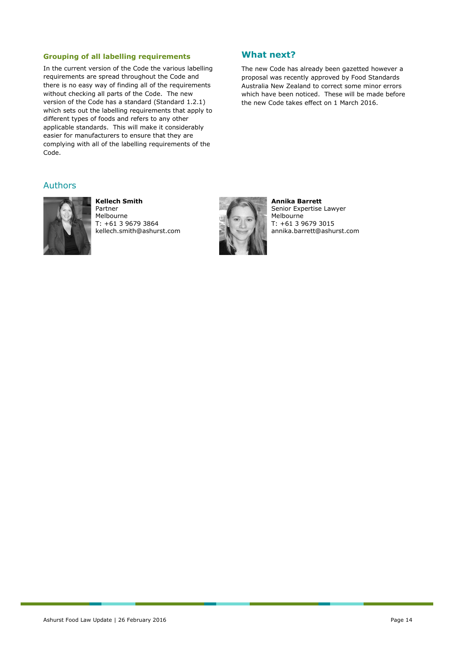#### **Grouping of all labelling requirements**

In the current version of the Code the various labelling requirements are spread throughout the Code and there is no easy way of finding all of the requirements without checking all parts of the Code. The new version of the Code has a standard (Standard 1.2.1) which sets out the labelling requirements that apply to different types of foods and refers to any other applicable standards. This will make it considerably easier for manufacturers to ensure that they are complying with all of the labelling requirements of the Code.

### **What next?**

The new Code has already been gazetted however a proposal was recently approved by Food Standards Australia New Zealand to correct some minor errors which have been noticed. These will be made before the new Code takes effect on 1 March 2016.

#### Authors



**Kellech Smith** Partner Melbourne T: +61 3 9679 3864 kellech.smith@ashurst.com



**Annika Barrett** Senior Expertise Lawyer Melbourne T: +61 3 9679 3015 annika.barrett@ashurst.com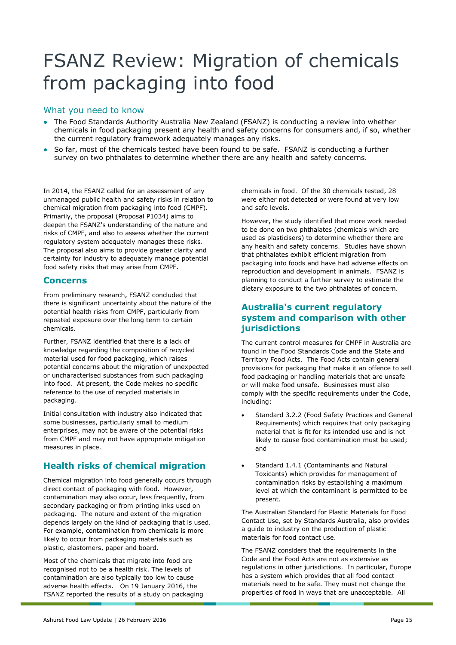# FSANZ Review: Migration of chemicals from packaging into food

## What you need to know

- The Food Standards Authority Australia New Zealand (FSANZ) is conducting a review into whether chemicals in food packaging present any health and safety concerns for consumers and, if so, whether the current regulatory framework adequately manages any risks.
- So far, most of the chemicals tested have been found to be safe. FSANZ is conducting a further survey on two phthalates to determine whether there are any health and safety concerns.

In 2014, the FSANZ called for an assessment of any unmanaged public health and safety risks in relation to chemical migration from packaging into food (CMPF). Primarily, the proposal (Proposal P1034) aims to deepen the FSANZ's understanding of the nature and risks of CMPF, and also to assess whether the current regulatory system adequately manages these risks. The proposal also aims to provide greater clarity and certainty for industry to adequately manage potential food safety risks that may arise from CMPF.

## **Concerns**

From preliminary research, FSANZ concluded that there is significant uncertainty about the nature of the potential health risks from CMPF, particularly from repeated exposure over the long term to certain chemicals.

Further, FSANZ identified that there is a lack of knowledge regarding the composition of recycled material used for food packaging, which raises potential concerns about the migration of unexpected or uncharacterised substances from such packaging into food. At present, the Code makes no specific reference to the use of recycled materials in packaging.

Initial consultation with industry also indicated that some businesses, particularly small to medium enterprises, may not be aware of the potential risks from CMPF and may not have appropriate mitigation measures in place.

# **Health risks of chemical migration**

Chemical migration into food generally occurs through direct contact of packaging with food. However, contamination may also occur, less frequently, from secondary packaging or from printing inks used on packaging. The nature and extent of the migration depends largely on the kind of packaging that is used. For example, contamination from chemicals is more likely to occur from packaging materials such as plastic, elastomers, paper and board.

Most of the chemicals that migrate into food are recognised not to be a health risk. The levels of contamination are also typically too low to cause adverse health effects. On 19 January 2016, the FSANZ reported the results of a study on packaging chemicals in food. Of the 30 chemicals tested, 28 were either not detected or were found at very low and safe levels.

However, the study identified that more work needed to be done on two phthalates (chemicals which are used as plasticisers) to determine whether there are any health and safety concerns. Studies have shown that phthalates exhibit efficient migration from packaging into foods and have had adverse effects on reproduction and development in animals. FSANZ is planning to conduct a further survey to estimate the dietary exposure to the two phthalates of concern.

## **Australia's current regulatory system and comparison with other jurisdictions**

The current control measures for CMPF in Australia are found in the Food Standards Code and the State and Territory Food Acts. The Food Acts contain general provisions for packaging that make it an offence to sell food packaging or handling materials that are unsafe or will make food unsafe. Businesses must also comply with the specific requirements under the Code, including:

- Standard 3.2.2 (Food Safety Practices and General Requirements) which requires that only packaging material that is fit for its intended use and is not likely to cause food contamination must be used; and
- Standard 1.4.1 (Contaminants and Natural Toxicants) which provides for management of contamination risks by establishing a maximum level at which the contaminant is permitted to be present.

The Australian Standard for Plastic Materials for Food Contact Use, set by Standards Australia, also provides a guide to industry on the production of plastic materials for food contact use.

The FSANZ considers that the requirements in the Code and the Food Acts are not as extensive as regulations in other jurisdictions. In particular, Europe has a system which provides that all food contact materials need to be safe. They must not change the properties of food in ways that are unacceptable. All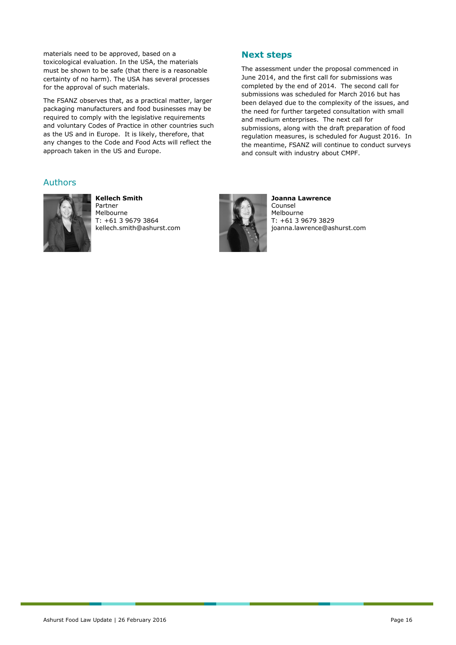materials need to be approved, based on a toxicological evaluation. In the USA, the materials must be shown to be safe (that there is a reasonable certainty of no harm). The USA has several processes for the approval of such materials.

The FSANZ observes that, as a practical matter, larger packaging manufacturers and food businesses may be required to comply with the legislative requirements and voluntary Codes of Practice in other countries such as the US and in Europe. It is likely, therefore, that any changes to the Code and Food Acts will reflect the approach taken in the US and Europe.

#### Authors



**Kellech Smith** Partner Melbourne T: +61 3 9679 3864 kellech.smith@ashurst.com



**Next steps** 

**Joanna Lawrence** Counsel Melbourne T: +61 3 9679 3829 joanna.lawrence@ashurst.com

The assessment under the proposal commenced in June 2014, and the first call for submissions was completed by the end of 2014. The second call for submissions was scheduled for March 2016 but has been delayed due to the complexity of the issues, and the need for further targeted consultation with small

submissions, along with the draft preparation of food regulation measures, is scheduled for August 2016. In the meantime, FSANZ will continue to conduct surveys

and medium enterprises. The next call for

and consult with industry about CMPF.